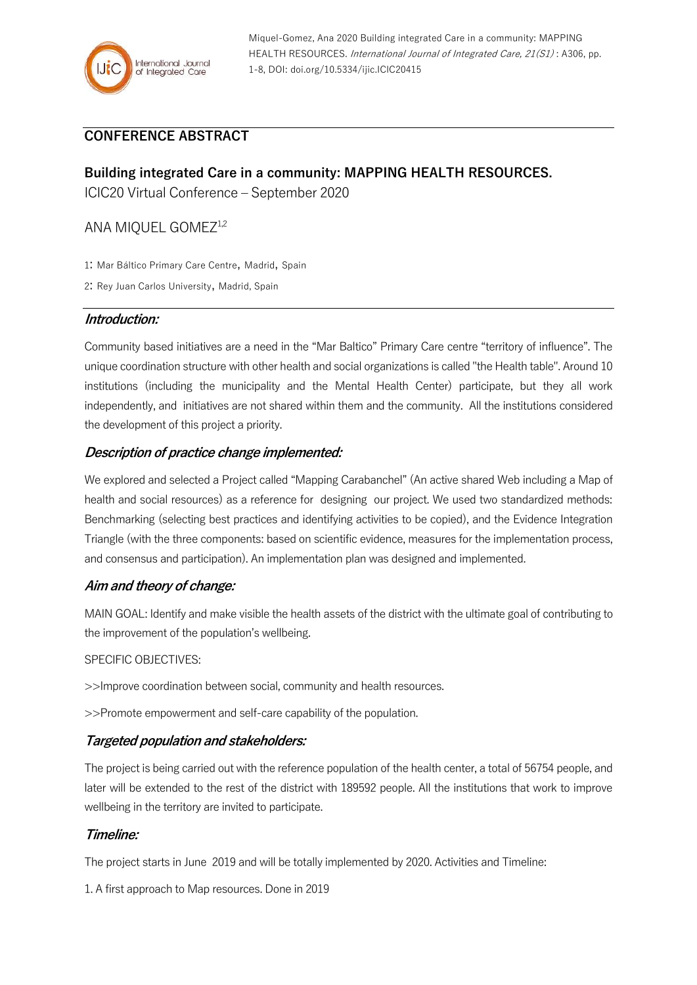

## **CONFERENCE ABSTRACT**

# **Building integrated Care in a community: MAPPING HEALTH RESOURCES.**

ICIC20 Virtual Conference – September 2020

### ANA MIQUEL GOMEZ<sup>1,2</sup>

1: Mar Báltico Primary Care Centre, Madrid, Spain

2: Rey Juan Carlos University, Madrid, Spain

### **Introduction:**

Community based initiatives are a need in the "Mar Baltico" Primary Care centre "territory of influence". The unique coordination structure with other health and social organizations is called "the Health table". Around 10 institutions (including the municipality and the Mental Health Center) participate, but they all work independently, and initiatives are not shared within them and the community. All the institutions considered the development of this project a priority.

### **Description of practice change implemented:**

We explored and selected a Project called "Mapping Carabanchel" (An active shared Web including a Map of health and social resources) as a reference for designing our project. We used two standardized methods: Benchmarking (selecting best practices and identifying activities to be copied), and the Evidence Integration Triangle (with the three components: based on scientific evidence, measures for the implementation process, and consensus and participation). An implementation plan was designed and implemented.

### **Aim and theory of change:**

MAIN GOAL: Identify and make visible the health assets of the district with the ultimate goal of contributing to the improvement of the population's wellbeing.

### SPECIFIC OBJECTIVES:

>>Improve coordination between social, community and health resources.

>>Promote empowerment and self-care capability of the population.

### **Targeted population and stakeholders:**

The project is being carried out with the reference population of the health center, a total of 56754 people, and later will be extended to the rest of the district with 189592 people. All the institutions that work to improve wellbeing in the territory are invited to participate.

### **Timeline:**

The project starts in June 2019 and will be totally implemented by 2020. Activities and Timeline:

1. A first approach to Map resources. Done in 2019